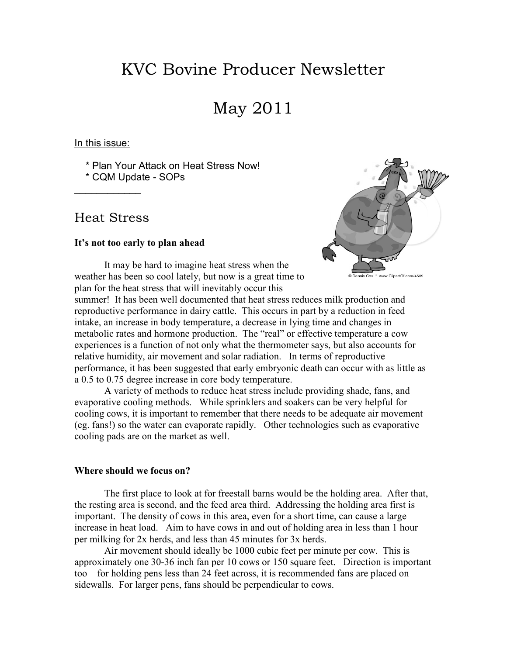# KVC Bovine Producer Newsletter

## May 2011

In this issue:

\* Plan Your Attack on Heat Stress Now!

\* CQM Update - SOPs

### Heat Stress

 $\overline{\phantom{a}}$ 

#### **It's not too early to plan ahead**



It may be hard to imagine heat stress when the weather has been so cool lately, but now is a great time to plan for the heat stress that will inevitably occur this

summer! It has been well documented that heat stress reduces milk production and reproductive performance in dairy cattle. This occurs in part by a reduction in feed intake, an increase in body temperature, a decrease in lying time and changes in metabolic rates and hormone production. The "real" or effective temperature a cow experiences is a function of not only what the thermometer says, but also accounts for relative humidity, air movement and solar radiation. In terms of reproductive performance, it has been suggested that early embryonic death can occur with as little as a 0.5 to 0.75 degree increase in core body temperature.

 A variety of methods to reduce heat stress include providing shade, fans, and evaporative cooling methods. While sprinklers and soakers can be very helpful for cooling cows, it is important to remember that there needs to be adequate air movement (eg. fans!) so the water can evaporate rapidly. Other technologies such as evaporative cooling pads are on the market as well.

#### **Where should we focus on?**

 The first place to look at for freestall barns would be the holding area. After that, the resting area is second, and the feed area third. Addressing the holding area first is important. The density of cows in this area, even for a short time, can cause a large increase in heat load. Aim to have cows in and out of holding area in less than 1 hour per milking for 2x herds, and less than 45 minutes for 3x herds.

 Air movement should ideally be 1000 cubic feet per minute per cow. This is approximately one 30-36 inch fan per 10 cows or 150 square feet. Direction is important too – for holding pens less than 24 feet across, it is recommended fans are placed on sidewalls. For larger pens, fans should be perpendicular to cows.